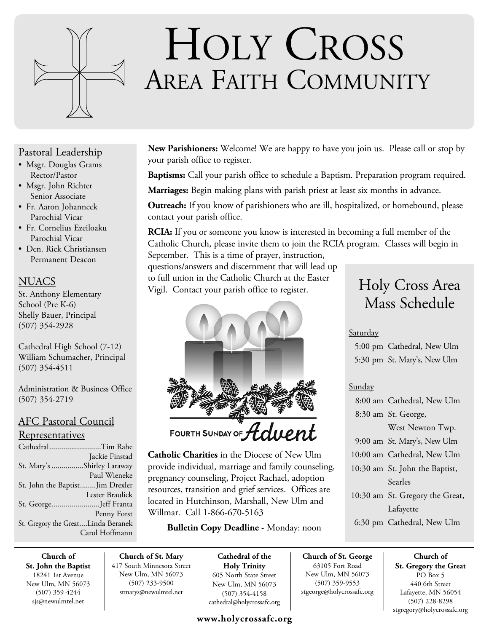

# HOLY CROSS AREA FAITH COMMUNITY

## Pastoral Leadership

- Msgr. Douglas Grams Rector/Pastor
- Msgr. John Richter Senior Associate
- Fr. Aaron Johanneck Parochial Vicar
- Fr. Cornelius Ezeiloaku Parochial Vicar
- Dcn. Rick Christiansen Permanent Deacon

## **NUACS**

St. Anthony Elementary School (Pre K-6) Shelly Bauer, Principal (507) 354-2928

Cathedral High School (7-12) William Schumacher, Principal (507) 354-4511

Administration & Business Office (507) 354-2719

## AFC Pastoral Council

### Representatives

| CathedralTim Rahe                  |                 |
|------------------------------------|-----------------|
|                                    | Jackie Finstad  |
| St. Mary's Shirley Laraway         |                 |
|                                    | Paul Wieneke    |
| St. John the BaptistJim Drexler    |                 |
|                                    | Lester Braulick |
| St. GeorgeJeff Franta              |                 |
|                                    | Penny Forst     |
| St. Gregory the GreatLinda Beranek |                 |
|                                    | Carol Hoffmann  |

**New Parishioners:** Welcome! We are happy to have you join us. Please call or stop by your parish office to register.

**Baptisms:** Call your parish office to schedule a Baptism. Preparation program required.

**Marriages:** Begin making plans with parish priest at least six months in advance.

**Outreach:** If you know of parishioners who are ill, hospitalized, or homebound, please contact your parish office.

**RCIA:** If you or someone you know is interested in becoming a full member of the Catholic Church, please invite them to join the RCIA program. Classes will begin in September. This is a time of prayer, instruction,

questions/answers and discernment that will lead up to full union in the Catholic Church at the Easter Vigil. Contact your parish office to register.



FOURTH SUNDAY OF  $\mathcal H$ 

**Catholic Charities** in the Diocese of New Ulm provide individual, marriage and family counseling, pregnancy counseling, Project Rachael, adoption resources, transition and grief services. Offices are located in Hutchinson, Marshall, New Ulm and Willmar. Call 1-866-670-5163

## **Bulletin Copy Deadline** - Monday: noon

**Church of St. John the Baptist** 18241 1st Avenue New Ulm, MN 56073 (507) 359-4244 sjs@newulmtel.net

**Church of St. Mary** 417 South Minnesota Street New Ulm, MN 56073 (507) 233-9500 stmarys@newulmtel.net

**Cathedral of the Holy Trinity** 605 North State Street New Ulm, MN 56073 (507) 354-4158 cathedral@holycrossafc.org

## **www.holycrossafc.org**

## Holy Cross Area Mass Schedule

## Saturday

 5:00 pm Cathedral, New Ulm 5:30 pm St. Mary's, New Ulm

## Sunday

**Church of St. George** 63105 Fort Road New Ulm, MN 56073 (507) 359-9553 stgeorge@holycrossafc.org

| 8:00 am Cathedral, New Ulm      |
|---------------------------------|
| 8:30 am St. George,             |
| West Newton Twp.                |
| 9:00 am St. Mary's, New Ulm     |
| 10:00 am Cathedral, New Ulm     |
| 10:30 am St. John the Baptist,  |
| Searles                         |
| 10:30 am St. Gregory the Great, |
| Lafayette                       |
| 6:30 pm Cathedral, New Ulm      |

**Church of St. Gregory the Great**  PO Box 5 440 6th Street Lafayette, MN 56054 (507) 228-8298 stgregory@holycrossafc.org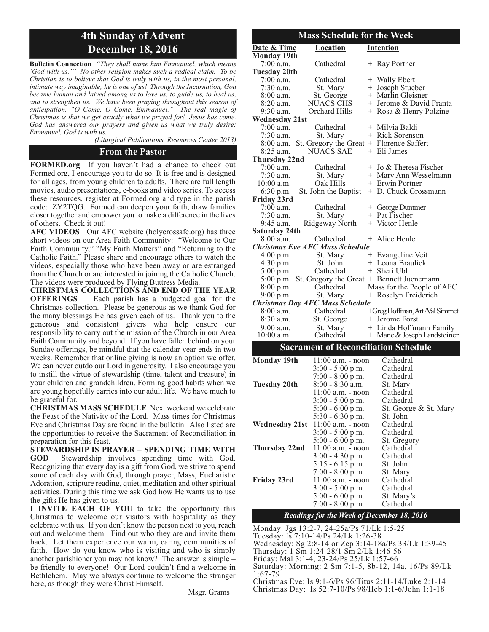## **4th Sunday of Advent December 18, 2016**

**Bulletin Connection** *"They shall name him Emmanuel, which means 'God with us.'" No other religion makes such a radical claim. To be Christian is to believe that God is truly with us, in the most personal, intimate way imaginable; he is one of us! Through the Incarnation, God became human and laived among us to love us, to guide us, to heal us, and to strengthen us. We have been praying throughout this season of anticipation, "O Come, O Come, Emmanuel." The real magic of Christmas is that we get exactly what we prayed for! Jesus has come. God has answered our prayers and given us what we truly desire: Emmanuel, God is with us.* 

*(Liturgical Publications. Resources Center 2013)*

#### **From the Pastor**

**FORMED.org** If you haven't had a chance to check out Formed.org, I encourage you to do so. It is free and is designed for all ages, from young children to adults. There are full length movies, audio presentations, e-books and video series. To access these resources, register at Formed.org and type in the parish code: ZY2TQG. Formed can deepen your faith, draw families closer together and empower you to make a difference in the lives of others. Check it out!

**AFC VIDEOS** Our AFC website (holycrossafc.org) has three short videos on our Area Faith Community: "Welcome to Our Faith Community," "My Faith Matters" and "Returning to the Catholic Faith." Please share and encourage others to watch the videos, especially those who have been away or are estranged from the Church or are interested in joining the Catholic Church. The videos were produced by Flying Buttress Media.

**CHRISTMAS COLLECTIONS AND END OF THE YEAR OFFERINGS** Each parish has a budgeted goal for the Christmas collection. Please be generous as we thank God for the many blessings He has given each of us. Thank you to the generous and consistent givers who help ensure our responsibility to carry out the mission of the Church in our Area Faith Community and beyond. If you have fallen behind on your Sunday offerings, be mindful that the calendar year ends in two weeks. Remember that online giving is now an option we offer. We can never outdo our Lord in generosity. I also encourage you to instill the virtue of stewardship (time, talent and treasure) in your children and grandchildren. Forming good habits when we are young hopefully carries into our adult life. We have much to be grateful for.

**CHRISTMAS MASS SCHEDULE** Next weekend we celebrate the Feast of the Nativity of the Lord. Mass times for Christmas Eve and Christmas Day are found in the bulletin. Also listed are the opportunities to receive the Sacrament of Reconciliation in preparation for this feast.

**STEWARDSHIP IS PRAYER – SPENDING TIME WITH GOD** Stewardship involves spending time with God. Recognizing that every day is a gift from God, we strive to spend some of each day with God, through prayer, Mass, Eucharistic Adoration, scripture reading, quiet, meditation and other spiritual activities. During this time we ask God how He wants us to use the gifts He has given to us.

**I INVITE EACH OF YOU** to take the opportunity this Christmas to welcome our visitors with hospitality as they celebrate with us. If you don't know the person next to you, reach out and welcome them. Find out who they are and invite them back. Let them experience our warm, caring communities of faith. How do you know who is visiting and who is simply another parishioner you may not know? The answer is simple – be friendly to everyone! Our Lord couldn't find a welcome in Bethlehem. May we always continue to welcome the stranger here, as though they were Christ Himself.

Msgr. Grams

| <b>Mass Schedule for the Week</b> |                                                     |  |                               |  |  |
|-----------------------------------|-----------------------------------------------------|--|-------------------------------|--|--|
| Date & Time                       | <b>Location</b>                                     |  | <b>Intention</b>              |  |  |
| <b>Monday 19th</b>                |                                                     |  |                               |  |  |
| 7:00 a.m.                         | Cathedral                                           |  | + Ray Portner                 |  |  |
| <b>Tuesday 20th</b>               |                                                     |  |                               |  |  |
| $7:00$ a.m.                       | Cathedral                                           |  | + Wally Ebert                 |  |  |
| $7:30$ a.m.                       | St. Mary                                            |  | + Joseph Stueber              |  |  |
| $8:00$ a.m.                       | St. George                                          |  | + Marlin Gleisner             |  |  |
| $8:20$ a.m.                       | NUACS CHS                                           |  | + Jerome & David Franta       |  |  |
| 9:30 a.m.                         | Orchard Hills                                       |  | + Rosa & Henry Polzine        |  |  |
| <b>Wednesday 21st</b>             |                                                     |  |                               |  |  |
| $7:00$ a.m.                       | Cathedral                                           |  | + Milvia Baldi                |  |  |
| 7:30 a.m.                         | St. Mary                                            |  | + Rick Sorenson               |  |  |
|                                   | 8:00 a.m. St. Gregory the Great + Florence Saffert  |  |                               |  |  |
| 8:25 a.m.                         | <b>NUACS SAE</b>                                    |  | + Eli James                   |  |  |
| Thursday 22nd                     |                                                     |  |                               |  |  |
| $7:00$ a.m.                       | Cathedral                                           |  | $+$ Jo & Theresa Fischer      |  |  |
| 7:30 a.m.                         | St. Mary                                            |  | + Mary Ann Wesselmann         |  |  |
| 10:00 a.m.                        | Oak Hills                                           |  | + Erwin Portner               |  |  |
| 6:30 p.m.                         | St. John the Baptist                                |  | + D. Chuck Grossmann          |  |  |
| Friday 23rd                       |                                                     |  |                               |  |  |
| $7:00$ a.m.                       | Cathedral                                           |  | + George Dummer               |  |  |
| $7:30$ a.m.                       | St. Mary                                            |  | + Pat Fischer                 |  |  |
| 9:45 a.m.                         | Ridgeway North                                      |  | + Victor Henle                |  |  |
| Saturday 24th<br>$8:00$ a.m.      | Cathedral                                           |  | + Alice Henle                 |  |  |
|                                   | <b>Christmas Eve AFC Mass Schedule</b>              |  |                               |  |  |
|                                   | St. Mary                                            |  | + Evangeline Veit             |  |  |
| $4:00$ p.m.<br>4:30 p.m.          | St. John                                            |  | + Leona Braulick              |  |  |
| $5:00$ p.m.                       | Cathedral                                           |  | + Sheri Ubl                   |  |  |
|                                   | 5:00 p.m. St. Gregory the Great + Bennett Juenemann |  |                               |  |  |
| 8:00 p.m.                         | Cathedral                                           |  | Mass for the People of AFC    |  |  |
| $9:00$ p.m.                       | St. Mary                                            |  | + Roselyn Freiderich          |  |  |
|                                   | <b>Christmas Day AFC Mass Schedule</b>              |  |                               |  |  |
| $8:00$ a.m.                       | Cathedral                                           |  | +Greg Hoffman, Art/Val Simmet |  |  |
| $8:30$ a.m.                       | St. George                                          |  | + Jerome Forst                |  |  |
| 9:00 a.m.                         | St. Mary                                            |  | + Linda Hoffmann Family       |  |  |
| $10:00$ a.m.                      | Cathedral                                           |  | + Marie & Joseph Landsteiner  |  |  |
|                                   |                                                     |  |                               |  |  |

#### **Sacrament of Reconciliation Schedule**

| <b>Monday 19th</b> | $11:00$ a.m. - noon              | Cathedral             |
|--------------------|----------------------------------|-----------------------|
|                    | $3:00 - 5:00$ p.m.               | Cathedral             |
|                    | $7:00 - 8:00$ p.m.               | Cathedral             |
| Tuesday 20th       | $8:00 - 8:30$ a.m.               | St. Mary              |
|                    | $11:00$ a.m. - noon              | Cathedral             |
|                    | $3:00 - 5:00$ p.m.               | Cathedral             |
|                    | $5:00 - 6:00$ p.m.               | St. George & St. Mary |
|                    | $5:30 - 6:30$ p.m.               | St. John              |
|                    | Wednesday 21st 11:00 a.m. - noon | Cathedral             |
|                    | $3:00 - 5:00$ p.m.               | Cathedral             |
|                    | $5:00 - 6:00$ p.m.               | St. Gregory           |
| Thursday 22nd      | $11:00$ a.m. - noon              | Cathedral             |
|                    | $3:00 - 4:30$ p.m.               | Cathedral             |
|                    | $5:15 - 6:15$ p.m.               | St. John              |
|                    | $7:00 - 8:00$ p.m.               | St. Mary              |
| Friday 23rd        | $11:00$ a.m. - noon              | Cathedral             |
|                    | $3:00 - 5:00$ p.m.               | Cathedral             |
|                    | $5:00 - 6:00$ p.m.               | St. Mary's            |
|                    | $7:00 - 8:00$ p.m.               | Cathedral             |

#### *Readings for the Week of December 18, 2016*

Monday: Jgs 13:2-7, 24-25a/Ps 71/Lk 1:5-25

Tuesday: Is 7:10-14/Ps 24/Lk 1:26-38

Wednesday: Sg 2:8-14 or Zep 3:14-18a/Ps 33/Lk 1:39-45

Thursday: 1 Sm 1:24-28/1 Sm 2/Lk 1:46-56

Friday: Mal 3:1-4, 23-24/Ps 25/Lk 1:57-66

Saturday: Morning: 2 Sm 7:1-5, 8b-12, 14a, 16/Ps 89/Lk 1:67-79

Christmas Eve: Is 9:1-6/Ps 96/Titus 2:11-14/Luke 2:1-14

Christmas Day: Is 52:7-10/Ps 98/Heb 1:1-6/John 1:1-18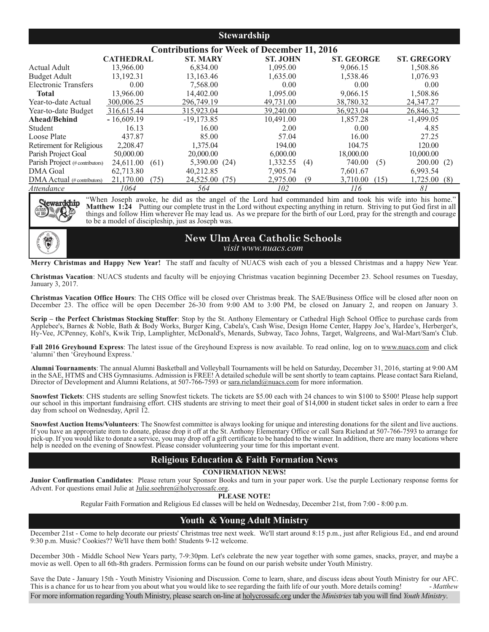#### **Stewardship**

| <b>Contributions for Week of December 11, 2016</b> |                  |                        |                 |                   |                     |
|----------------------------------------------------|------------------|------------------------|-----------------|-------------------|---------------------|
|                                                    | <b>CATHEDRAL</b> | <b>ST. MARY</b>        | <b>ST. JOHN</b> | <b>ST. GEORGE</b> | <b>ST. GREGORY</b>  |
| Actual Adult                                       | 13.966.00        | 6,834.00               | 1.095.00        | 9,066.15          | 1,508.86            |
| <b>Budget Adult</b>                                | 13.192.31        | 13,163.46              | 1,635.00        | 1,538.46          | 1,076.93            |
| <b>Electronic Transfers</b>                        | 0.00             | 7,568.00               | 0.00            | 0.00              | 0.00                |
| Total                                              | 13,966.00        | 14,402.00              | 1,095.00        | 9,066.15          | 1,508.86            |
| Year-to-date Actual                                | 300,006.25       | 296,749.19             | 49,731.00       | 38,780.32         | 24, 347. 27         |
| Year-to-date Budget                                | 316,615.44       | 315,923.04             | 39,240.00       | 36,923.04         | 26,846.32           |
| Ahead/Behind                                       | $-16,609.19$     | $-19,173.85$           | 10.491.00       | 1,857.28          | $-1,499.05$         |
| Student                                            | 16.13            | 16.00                  | 2.00            | 0.00              | 4.85                |
| Loose Plate                                        | 437.87           | 85.00                  | 57.04           | 16.00             | 27.25               |
| Retirement for Religious                           | 2,208.47         | 1,375.04               | 194.00          | 104.75            | 120.00              |
| Parish Project Goal                                | 50,000.00        | 20,000.00              | 6,000.00        | 18,000.00         | 10,000.00           |
| Parish Project (# contributors)                    | 24,611.00        | 5,390.00 (24)<br>(61)  | 1,332.55        | 740.00<br>(4)     | 200.00(2)<br>(5)    |
| <b>DMA</b> Goal                                    | 62,713.80        | 40,212.85              | 7.905.74        | 7,601.67          | 6.993.54            |
| $\rm DMA$ Actual (# contributors)                  | 21,170.00        | 24,525.00 (75)<br>(75) | 2,975.00        | 3.710.00<br>(9)   | 1,725.00(8)<br>(15) |
| Attendance                                         | 1064             | 564                    | 102             | 116               | 81                  |



"When Joseph awoke, he did as the angel of the Lord had commanded him and took his wife into his home." **Matthew 1:24** Putting our complete trust in the Lord without expecting anything in return. Striving to put God first in all things and follow Him wherever He may lead us. As we prepare for the birth of our Lord, pray for the strength and courage to be a model of discipleship, just as Joseph was.



**New Ulm Area Catholic Schools** *visit www.nuacs.com*

**Merry Christmas and Happy New Year!** The staff and faculty of NUACS wish each of you a blessed Christmas and a happy New Year.

**Christmas Vacation**: NUACS students and faculty will be enjoying Christmas vacation beginning December 23. School resumes on Tuesday, January 3, 2017.

**Christmas Vacation Office Hours**: The CHS Office will be closed over Christmas break. The SAE/Business Office will be closed after noon on December 23. The office will be open December 26-30 from 9:00 AM to 3:00 PM, be closed on January 2, and reopen on January 3.

**Scrip – the Perfect Christmas Stocking Stuffer**: Stop by the St. Anthony Elementary or Cathedral High School Office to purchase cards from Applebee's, Barnes & Noble, Bath & Body Works, Burger King, Cabela's, Cash Wise, Design Home Center, Happy Joe's, Hardee's, Herberger's, Hy-Vee, JCPenney, Kohl's, Kwik Trip, Lamplighter, McDonald's, Menards, Subway, Taco Johns, Target, Walgreens, and Wal-Mart/Sam's Club.

**Fall 2016 Greyhound Express**: The latest issue of the Greyhound Express is now available. To read online, log on to www.nuacs.com and click 'alumni' then 'Greyhound Express.'

**Alumni Tournaments**: The annual Alumni Basketball and Volleyball Tournaments will be held on Saturday, December 31, 2016, starting at 9:00 AM in the SAE, HTMS and CHS Gymnasiums. Admission is FREE! A detailed schedule will be sent shortly to team captains. Please contact Sara Rieland, Director of Development and Alumni Relations, at 507-766-7593 or sara.rieland@nuacs.com for more information.

**Snowfest Tickets**: CHS students are selling Snowfest tickets. The tickets are \$5.00 each with 24 chances to win \$100 to \$500! Please help support our school in this important fundraising effort. CHS students are striving to meet their goal of \$14,000 in student ticket sales in order to earn a free day from school on Wednesday, April 12.

**Snowfest Auction Items/Volunteers**: The Snowfest committee is always looking for unique and interesting donations for the silent and live auctions. If you have an appropriate item to donate, please drop it off at the St. Anthony Elementary Office or call Sara Rieland at 507-766-7593 to arrange for pick-up. If you would like to donate a service, you may drop off a gift certificate to be handed to the winner. In addition, there are many locations where help is needed on the evening of Snowfest. Please consider volunteering your time for this important event.

#### **Religious Education & Faith Formation News**

#### **CONFIRMATION NEWS!**

**Junior Confirmation Candidates**: Please return your Sponsor Books and turn in your paper work. Use the purple Lectionary response forms for Advent. For questions email Julie at Julie.soehren@holycrossafc.org.

**PLEASE NOTE!**

Regular Faith Formation and Religious Ed classes will be held on Wednesday, December 21st, from 7:00 - 8:00 p.m.

#### **Youth & Young Adult Ministry**

December 21st - Come to help decorate our priests' Christmas tree next week. We'll start around 8:15 p.m., just after Religious Ed., and end around 9:30 p.m. Music? Cookies?? We'll have them both! Students 9-12 welcome.

December 30th - Middle School New Years party, 7-9:30pm. Let's celebrate the new year together with some games, snacks, prayer, and maybe a movie as well. Open to all 6th-8th graders. Permission forms can be found on our parish website under Youth Ministry.

Save the Date - January 15th - Youth Ministry Visioning and Discussion. Come to learn, share, and discuss ideas about Youth Ministry for our AFC.<br>This is a chance for us to hear from you about what you would like to see re This is a chance for us to hear from you about what you would like to see regarding the faith life of our youth. More details coming! For more information regarding Youth Ministry, please search on-line at holycrossafc.org under the *Ministries*tab you will find *Youth Ministry*.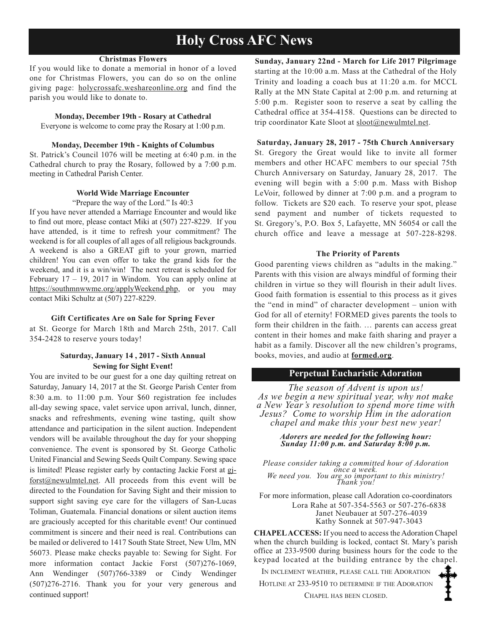## **Holy Cross AFC News**

#### **Christmas Flowers**

If you would like to donate a memorial in honor of a loved one for Christmas Flowers, you can do so on the online giving page: holycrossafc.weshareonline.org and find the parish you would like to donate to.

#### **Monday, December 19th - Rosary at Cathedral**

Everyone is welcome to come pray the Rosary at 1:00 p.m.

#### **Monday, December 19th - Knights of Columbus**

St. Patrick's Council 1076 will be meeting at 6:40 p.m. in the Cathedral church to pray the Rosary, followed by a 7:00 p.m. meeting in Cathedral Parish Center.

#### **World Wide Marriage Encounter**

"Prepare the way of the Lord." Is 40:3

If you have never attended a Marriage Encounter and would like to find out more, please contact Miki at (507) 227-8229. If you have attended, is it time to refresh your commitment? The weekend is for all couples of all ages of all religious backgrounds. A weekend is also a GREAT gift to your grown, married children! You can even offer to take the grand kids for the weekend, and it is a win/win! The next retreat is scheduled for February  $17 - 19$ , 2017 in Windom. You can apply online at https://southmnwwme.org/applyWeekend.php, or you may contact Miki Schultz at (507) 227-8229.

#### **Gift Certificates Are on Sale for Spring Fever**

at St. George for March 18th and March 25th, 2017. Call 354-2428 to reserve yours today!

#### **Saturday, January 14 , 2017 - Sixth Annual Sewing for Sight Event!**

You are invited to be our guest for a one day quilting retreat on Saturday, January 14, 2017 at the St. George Parish Center from 8:30 a.m. to 11:00 p.m. Your \$60 registration fee includes all-day sewing space, valet service upon arrival, lunch, dinner, snacks and refreshments, evening wine tasting, quilt show attendance and participation in the silent auction. Independent vendors will be available throughout the day for your shopping convenience. The event is sponsored by St. George Catholic United Financial and Sewing Seeds Quilt Company. Sewing space is limited! Please register early by contacting Jackie Forst at gjforst@newulmtel.net. All proceeds from this event will be directed to the Foundation for Saving Sight and their mission to support sight saving eye care for the villagers of San-Lucas Toliman, Guatemala. Financial donations or silent auction items are graciously accepted for this charitable event! Our continued commitment is sincere and their need is real. Contributions can be mailed or delivered to 1417 South State Street, New Ulm, MN 56073. Please make checks payable to: Sewing for Sight. For more information contact Jackie Forst (507)276-1069, Ann Wendinger (507)766-3389 or Cindy Wendinger (507)276-2716. Thank you for your very generous and continued support!

**Sunday, January 22nd - March for Life 2017 Pilgrimage**  starting at the 10:00 a.m. Mass at the Cathedral of the Holy Trinity and loading a coach bus at 11:20 a.m. for MCCL Rally at the MN State Capital at 2:00 p.m. and returning at 5:00 p.m. Register soon to reserve a seat by calling the Cathedral office at 354-4158. Questions can be directed to trip coordinator Kate Sloot at sloot@newulmtel.net.

#### **Saturday, January 28, 2017 - 75th Church Anniversary**

St. Gregory the Great would like to invite all former members and other HCAFC members to our special 75th Church Anniversary on Saturday, January 28, 2017. The evening will begin with a 5:00 p.m. Mass with Bishop LeVoir, followed by dinner at 7:00 p.m. and a program to follow. Tickets are \$20 each. To reserve your spot, please send payment and number of tickets requested to St. Gregory's, P.O. Box 5, Lafayette, MN 56054 or call the church office and leave a message at 507-228-8298.

#### **The Priority of Parents**

Good parenting views children as "adults in the making." Parents with this vision are always mindful of forming their children in virtue so they will flourish in their adult lives. Good faith formation is essential to this process as it gives the "end in mind" of character development – union with God for all of eternity! FORMED gives parents the tools to form their children in the faith. … parents can access great content in their homes and make faith sharing and prayer a habit as a family. Discover all the new children's programs, books, movies, and audio at **formed.org**.

#### **Perpetual Eucharistic Adoration**

*The season of Advent is upon us! As we begin a new spiritual year, why not make a New Year's resolution to spend more time with Jesus? Come to worship Him in the adoration chapel and make this your best new year!*

#### *Adorers are needed for the following hour: Sunday 11:00 p.m. and Saturday 8:00 p.m.*

*Please consider taking a committed hour of Adoration once a week. We need you. You are so important to this ministry! Thank you!*

For more information, please call Adoration co-coordinators Lora Rahe at 507-354-5563 or 507-276-6838 Janet Neubauer at 507-276-4039 Kathy Sonnek at 507-947-3043

**CHAPEL ACCESS:** If you need to access the Adoration Chapel when the church building is locked, contact St. Mary's parish office at 233-9500 during business hours for the code to the keypad located at the building entrance by the chapel.

IN INCLEMENT WEATHER, PLEASE CALL THE ADORATION

HOTLINE AT 233-9510 TO DETERMINE IF THE ADORATION

CHAPEL HAS BEEN CLOSED.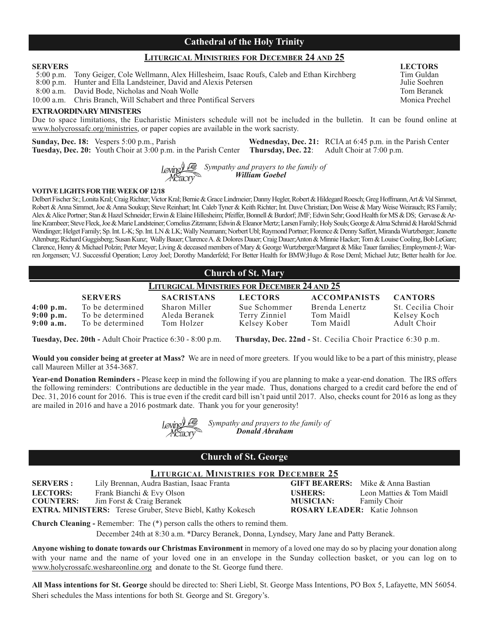#### **Cathedral of the Holy Trinity**

#### **LITURGICAL MINISTRIES FOR DECEMBER 24 AND 25**

5:00 p.m. Tony Geiger, Cole Wellmann, Alex Hillesheim, Isaac Roufs, Caleb and Ethan Kirchberg Tim Guldan<br>8:00 p.m. Hunter and Ella Landsteiner. David and Alexis Petersen

8:00 p.m. Hunter and Ella Landsteiner, David and Alexis Petersen Julie Soehren Julie Soehren Branch and Holde.<br>8:00 a.m. David Bode. Nicholas and Noah Wolle Tom Beranek

8:00 a.m. David Bode, Nicholas and Noah Wolle

10:00 a.m. Chris Branch, Will Schabert and three Pontifical Servers Monica Prechel

#### **EXTRAORDINARY MINISTERS**

Due to space limitations, the Eucharistic Ministers schedule will not be included in the bulletin. It can be found online at www.holycrossafc.org/ministries, or paper copies are available in the work sacristy.

**Sunday, Dec. 18:** Vespers 5:00 p.m., Parish **Wednesday, Dec. 21:** RCIA at 6:45 p.m. in the Parish Center **Tuesday, Dec. 20:** Youth Choir at 3:00 p.m. in the Parish Center **Thursday, Dec. 22**: Adult Choir at 7:00 p.m.

> *Sympathy and prayers to the family of William Goebel*

#### **VOTIVE LIGHTS FOR THE WEEK OF 12/18**

Delbert Fischer Sr.; Lonita Kral; Craig Richter; Victor Kral; Bernie & Grace Lindmeier; Danny Hegler, Robert & Hildegard Roesch; Greg Hoffmann, Art & Val Simmet, Robert & Anna Simmet, Joe & Anna Soukup; Steve Reinhart; Int. Caleb Tyner & Keith Richter; Int. Dave Christian; Don Weise & Mary Weise Weirauch; RS Family; Alex & Alice Portner; Stan & Hazel Schneider; Erwin & Elaine Hillesheim; Pfeiffer, Bonnell & Burdorf; JMF; Edwin Sehr; Good Health for MS & DS; Gervase & Arline Krambeer; Steve Fleck, Joe & Marie Landsteiner; Cornelius Zitzmann; Edwin & Eleanor Mertz; Larsen Family; Holy Souls; George & Alma Schmid & Harold Schmid Wendinger; Helget Family; Sp. Int. L-K; Sp. Int. LN & LK; Wally Neumann; Norbert Ubl; Raymond Portner; Florence & Denny Saffert, Miranda Wurtzberger; Jeanette Altenburg; Richard Guggisberg; Susan Kunz; Wally Bauer; Clarence A. & Dolores Dauer; Craig Dauer;Anton & Minnie Hacker; Tom & Louise Cooling, Bob LeGare; Clarence, Henry & Michael Polzin; Peter Meyer; Living & deceased members of Mary & George Wurtzberger/Margaret & Mike Tauer families; Employment-J; Warren Jorgensen; V.J. Successful Operation; Leroy Joel; Dorothy Manderfeld; For Better Health for BMW;Hugo & Rose Deml; Michael Jutz; Better health for Joe.

| <b>Church of St. Mary</b>                           |                                                          |                                              |                                               |                                          |                                                 |
|-----------------------------------------------------|----------------------------------------------------------|----------------------------------------------|-----------------------------------------------|------------------------------------------|-------------------------------------------------|
| <b>LITURGICAL MINISTRIES FOR DECEMBER 24 AND 25</b> |                                                          |                                              |                                               |                                          |                                                 |
|                                                     | <b>SERVERS</b>                                           | <b>SACRISTANS</b>                            | <b>LECTORS</b>                                | <b>ACCOMPANISTS</b>                      | <b>CANTORS</b>                                  |
| $4:00$ p.m.<br>9:00 p.m.<br>$9:00$ a.m.             | To be determined<br>To be determined<br>To be determined | Sharon Miller<br>Aleda Beranek<br>Tom Holzer | Sue Schommer<br>Terry Zinniel<br>Kelsey Kober | Brenda Lenertz<br>Tom Maidl<br>Tom Maidl | St. Cecilia Choir<br>Kelsey Koch<br>Adult Choir |

**Tuesday, Dec. 20th -** Adult Choir Practice 6:30 - 8:00 p.m. **Thursday, Dec. 22nd -** St. Cecilia Choir Practice 6:30 p.m.

**Would you consider being at greeter at Mass?** We are in need of more greeters. If you would like to be a part of this ministry, please call Maureen Miller at 354-3687.

**Year-end Donation Reminders -** Please keep in mind the following if you are planning to make a year-end donation. The IRS offers the following reminders: Contributions are deductible in the year made. Thus, donations charged to a credit card before the end of Dec. 31, 2016 count for 2016. This is true even if the credit card bill isn't paid until 2017. Also, checks count for 2016 as long as they are mailed in 2016 and have a 2016 postmark date. Thank you for your generosity!

*Sympathy and prayers to the family of Donald Abraham*

#### **Church of St. George**

## **LITURGICAL MINISTRIES FOR DECEMBER 25**<br> **Idra Bastian, Isaac Franta GIFT BEARERS:** Mike & Anna Bastian

**SERVERS :** Lily Brennan, Audra Bastian, Isaac Franta **LECTORS:** Frank Bianchi & Evy Olson **USHERS:** Leon Matties & Tom Maidl **COUNTERS:** Jim Forst & Craig Beranek **MUSICIAN:** Family Choir **COUNTERS:** Jim Forst & Craig Beranek **COUNTERS:** Family Choir<br> **CRS:** Terese Gruber, Steve Biebl, Kathy Kokesch **ROSARY LEADER:** Katie Johnson **EXTRA. MINISTERS:** Terese Gruber, Steve Biebl, Kathy Kokesch

**Church Cleaning -** Remember: The (\*) person calls the others to remind them.

December 24th at 8:30 a.m. \*Darcy Beranek, Donna, Lyndsey, Mary Jane and Patty Beranek.

**Anyone wishing to donate towards our Christmas Environment** in memory of a loved one may do so by placing your donation along with your name and the name of your loved one in an envelope in the Sunday collection basket, or you can log on to www.holycrossafc.weshareonline.org and donate to the St. George fund there.

**All Mass intentions for St. George** should be directed to: Sheri Liebl, St. George Mass Intentions, PO Box 5, Lafayette, MN 56054. Sheri schedules the Mass intentions for both St. George and St. Gregory's.

**SERVERS LECTORS**